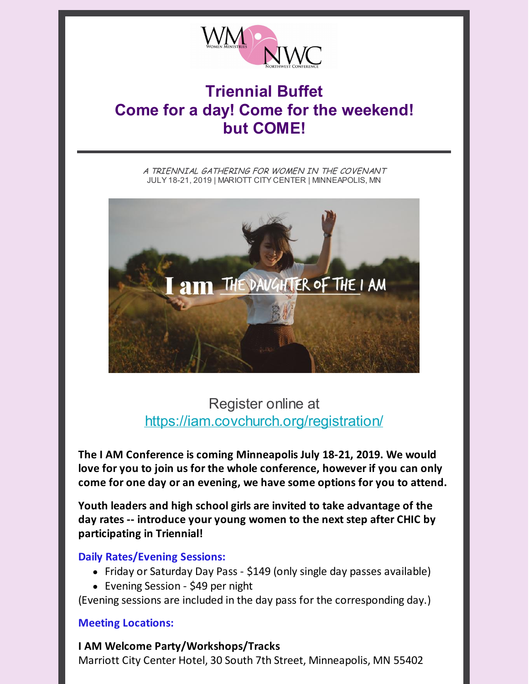

# **Triennial Buffet Come for a day! Come for the weekend! but COME!**

A TRIENNIAL GATHERING FOR WOMEN IN THE COVENANT JULY 18-21, 2019 | MARIOTT CITY CENTER | MINNEAPOLIS, MN



## Register online at <https://iam.covchurch.org/registration/>

**The I AM Conference is coming Minneapolis July 18-21, 2019. We would love for you to join us for the whole conference, however if you can only come for one day or an evening, we have some options for you to attend.**

**Youth leaders and high school girls are invited to take advantage of the day rates -- introduce your young women to the next step after CHIC by participating in Triennial!**

#### **Daily Rates/Evening Sessions:**

- Friday or Saturday Day Pass \$149 (only single day passes available)
- Evening Session \$49 per night

(Evening sessions are included in the day pass for the corresponding day.)

#### **Meeting Locations:**

### **I AM Welcome Party/Workshops/Tracks**

Marriott City Center Hotel, 30 South 7th Street, Minneapolis, MN 55402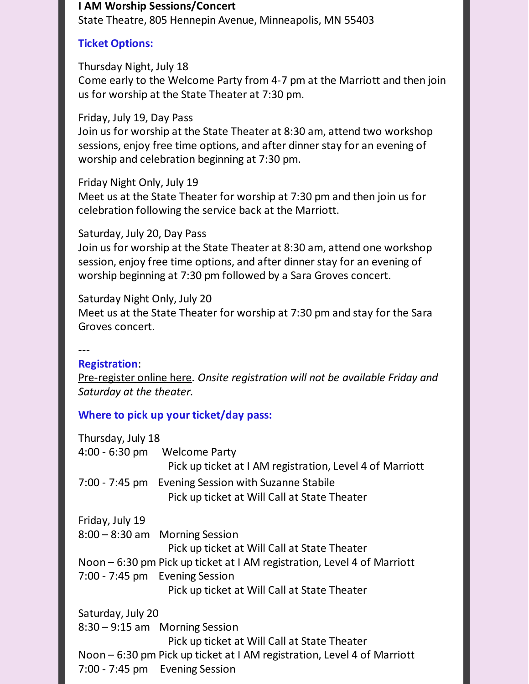#### **I AM Worship Sessions/Concert**

State Theatre, 805 Hennepin Avenue, Minneapolis, MN 55403

#### **Ticket Options:**

Thursday Night, July 18 Come early to the Welcome Party from 4-7 pm at the Marriott and then join us for worship at the State Theater at 7:30 pm.

Friday, July 19, Day Pass

Join us for worship at the State Theater at 8:30 am, attend two workshop sessions, enjoy free time options, and after dinner stay for an evening of worship and celebration beginning at 7:30 pm.

Friday Night Only, July 19 Meet us at the State Theater for worship at 7:30 pm and then join us for celebration following the service back at the Marriott.

Saturday, July 20, Day Pass Join us for worship at the State Theater at 8:30 am, attend one workshop session, enjoy free time options, and after dinner stay for an evening of worship beginning at 7:30 pm followed by a Sara Groves concert.

Saturday Night Only, July 20 Meet us at the State Theater for worship at 7:30 pm and stay for the Sara Groves concert.

---

#### **Registration**:

[Pre-register](https://iam.covchurch.org/registration/) online here. *Onsite registration will not be available Friday and Saturday at the theater.*

#### **Where to pick up your ticket/day pass:**

| Thursday, July 18                                                       |                                                          |  |  |
|-------------------------------------------------------------------------|----------------------------------------------------------|--|--|
|                                                                         | 4:00 - 6:30 pm Welcome Party                             |  |  |
|                                                                         | Pick up ticket at I AM registration, Level 4 of Marriott |  |  |
|                                                                         | 7:00 - 7:45 pm Evening Session with Suzanne Stabile      |  |  |
|                                                                         | Pick up ticket at Will Call at State Theater             |  |  |
| Friday, July 19                                                         |                                                          |  |  |
|                                                                         | 8:00 - 8:30 am Morning Session                           |  |  |
|                                                                         | Pick up ticket at Will Call at State Theater             |  |  |
| Noon – 6:30 pm Pick up ticket at I AM registration, Level 4 of Marriott |                                                          |  |  |
| 7:00 - 7:45 pm Evening Session                                          |                                                          |  |  |
|                                                                         | Pick up ticket at Will Call at State Theater             |  |  |
| Saturday, July 20                                                       |                                                          |  |  |
|                                                                         | $8:30 - 9:15$ am Morning Session                         |  |  |
|                                                                         | Pick up ticket at Will Call at State Theater             |  |  |
| Noon – 6:30 pm Pick up ticket at I AM registration, Level 4 of Marriott |                                                          |  |  |
|                                                                         | 7:00 - 7:45 pm Evening Session                           |  |  |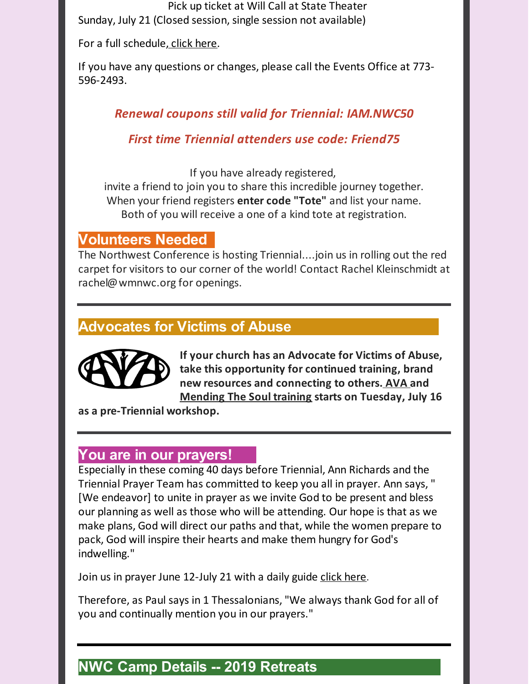Pick up ticket at Will Call at State Theater Sunday, July 21 (Closed session, single session not available)

For a full schedule, click [here](https://iam.covchurch.org/schedule/).

If you have any questions or changes, please call the Events Office at 773- 596-2493.

### *Renewal coupons still valid for Triennial: IAM.NWC50*

### *First time Triennial attenders use code: Friend75*

If you have already registered,

invite a friend to join you to share this incredible journey together. When your friend registers **enter code "Tote"** and list your name. Both of you will receive a one of a kind tote at registration.

### **Volunteers Needed .**

The Northwest Conference is hosting Triennial....join us in rolling out the red carpet for visitors to our corner of the world! Contact Rachel Kleinschmidt at rachel@wmnwc.org for openings.

## **Advocates for Victims of Abuse...**



**If your church has an Advocate for Victims of Abuse, take this opportunity for continued training, brand new resources and connecting to others. [AVA](https://iam.covchurch.org/preevents/) and [Mending](https://iam.covchurch.org/preevents/) The Soul training starts on Tuesday, July 16**

**as a pre-Triennial workshop.**

### **You are in our prayers! .... .**....

Especially in these coming 40 days before Triennial, Ann Richards and the Triennial Prayer Team has committed to keep you all in prayer. Ann says," [We endeavor] to unite in prayer as we invite God to be present and bless our planning as well as those who will be attending. Our hope is that as we make plans, God will direct our paths and that, while the women prepare to pack, God will inspire their hearts and make them hungry for God's indwelling."

Join us in prayer June 12-July 21 with a daily guide [click](https://files.constantcontact.com/d2d4ab2c001/173205e4-726e-4e6c-a363-4d971eea60e4.pdf) here.

Therefore, as Paul says in 1 Thessalonians,"We always thank God for all of you and continually mention you in our prayers."

# **NWC Camp Details -- 2019 Retreats...............................**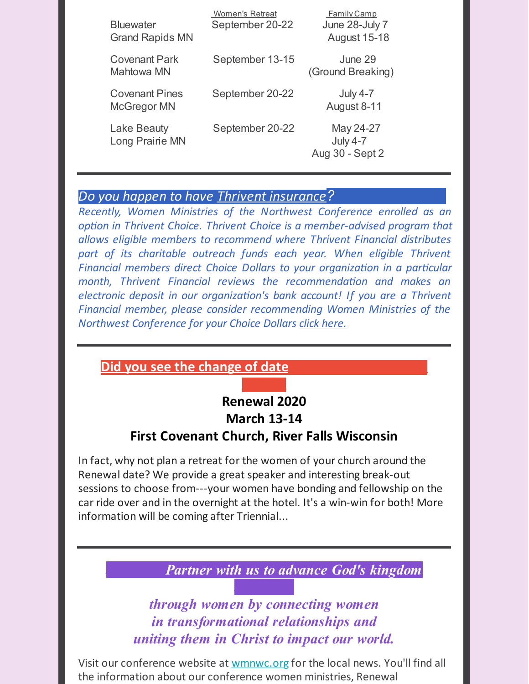| <b>Bluewater</b><br><b>Grand Rapids MN</b> | Women's Retreat<br>September 20-22 | <b>Family Camp</b><br>June 28-July 7<br><b>August 15-18</b> |
|--------------------------------------------|------------------------------------|-------------------------------------------------------------|
| <b>Covenant Park</b><br><b>Mahtowa MN</b>  | September 13-15                    | June 29<br>(Ground Breaking)                                |
| <b>Covenant Pines</b><br>McGregor MN       | September 20-22                    | <b>July 4-7</b><br>August 8-11                              |
| Lake Beauty<br>Long Prairie MN             | September 20-22                    | May 24-27<br><b>July 4-7</b><br>Aug 30 - Sept 2             |

### *Do you happen to have Thrivent [insurance](https://service.thrivent.com/apps/ThriventChoiceMemberWeb/public/orgDetails/100614299189)?............................*

*Recently, Women Ministries of the Northwest Conference enrolled as an option in Thrivent Choice. Thrivent Choice is a member-advised program that allows eligible members to recommend where Thrivent Financial distributes part of its charitable outreach funds each year. When eligible Thrivent Financial members direct Choice Dollars to your organization in a particular month, Thrivent Financial reviews the recommendation and makes an electronic deposit in our organization's bank account! If you are a Thrivent Financial member, please consider recommending Women Ministries of the Northwest Conference for your Choice Dollars click [here.](https://service.thrivent.com/apps/ThriventChoiceMemberWeb/public/orgDetails/100614299189)*

### **Did you see the change of date. .................................**

## **Renewal 2020 March 13-14 First Covenant Church, River Falls Wisconsin**

**...........**

In fact, why not plan a retreat for the women of your church around the Renewal date? We provide a great speaker and interesting break-out sessions to choose from---your women have bonding and fellowship on the car ride over and in the overnight at the hotel. It's a win-win for both! More information will be coming after Triennial...

*...............Partner with us to advance God's kingdom*

*through women by connecting women in transformational relationships and uniting them in Christ to impact our world.*

*...............*

Visit our conference website at [wmnwc.org](http://www.wmnwc.org/) for the local news. You'll find all the information about our conference women ministries, Renewal